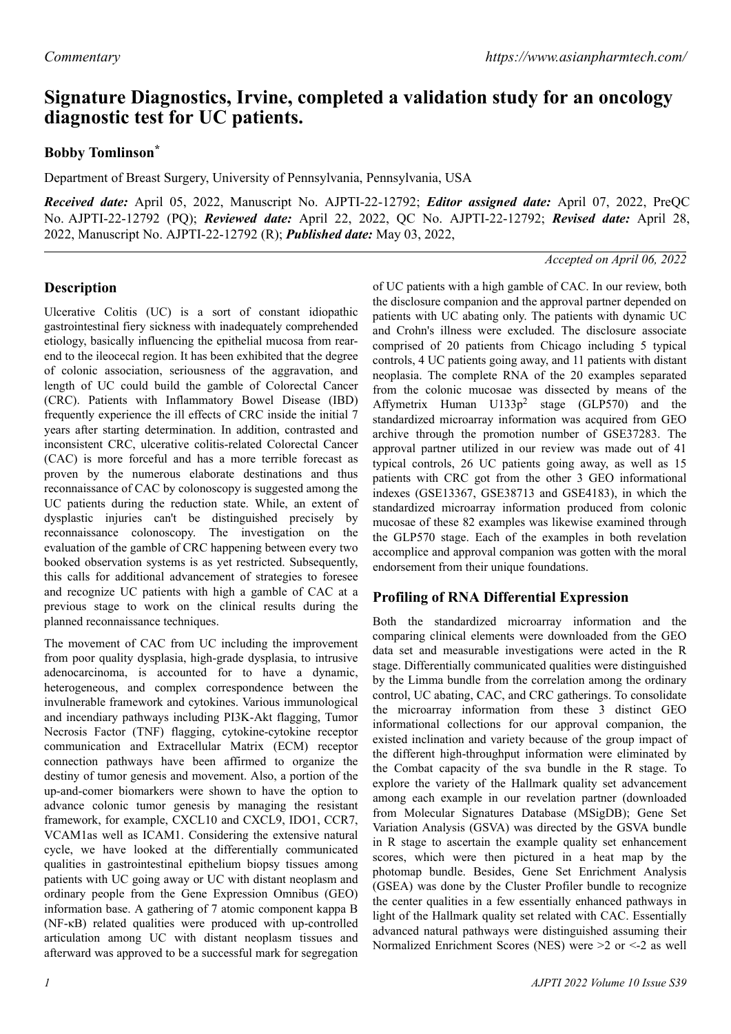# **Signature Diagnostics, Irvine, completed a validation study for an oncology diagnostic test for UC patients.**

# **Bobby Tomlinson\***

Department of Breast Surgery, University of Pennsylvania, Pennsylvania, USA

*Received date:* April 05, 2022, Manuscript No. AJPTI-22-12792; *Editor assigned date:* April 07, 2022, PreQC No. AJPTI-22-12792 (PQ); *Reviewed date:* April 22, 2022, QC No. AJPTI-22-12792; *Revised date:* April 28, 2022, Manuscript No. AJPTI-22-12792 (R); *Published date:* May 03, 2022,

#### *Accepted on April 06, 2022*

# **Description**

Ulcerative Colitis (UC) is a sort of constant idiopathic gastrointestinal fiery sickness with inadequately comprehended etiology, basically influencing the epithelial mucosa from rearend to the ileocecal region. It has been exhibited that the degree of colonic association, seriousness of the aggravation, and length of UC could build the gamble of Colorectal Cancer (CRC). Patients with Inflammatory Bowel Disease (IBD) frequently experience the ill effects of CRC inside the initial 7 years after starting determination. In addition, contrasted and inconsistent CRC, ulcerative colitis-related Colorectal Cancer (CAC) is more forceful and has a more terrible forecast as proven by the numerous elaborate destinations and thus reconnaissance of CAC by colonoscopy is suggested among the UC patients during the reduction state. While, an extent of dysplastic injuries can't be distinguished precisely by reconnaissance colonoscopy. The investigation on the evaluation of the gamble of CRC happening between every two booked observation systems is as yet restricted. Subsequently, this calls for additional advancement of strategies to foresee and recognize UC patients with high a gamble of CAC at a previous stage to work on the clinical results during the planned reconnaissance techniques.

The movement of CAC from UC including the improvement from poor quality dysplasia, high-grade dysplasia, to intrusive adenocarcinoma, is accounted for to have a dynamic, heterogeneous, and complex correspondence between the invulnerable framework and cytokines. Various immunological and incendiary pathways including PI3K-Akt flagging, Tumor Necrosis Factor (TNF) flagging, cytokine-cytokine receptor communication and Extracellular Matrix (ECM) receptor connection pathways have been affirmed to organize the destiny of tumor genesis and movement. Also, a portion of the up-and-comer biomarkers were shown to have the option to advance colonic tumor genesis by managing the resistant framework, for example, CXCL10 and CXCL9, IDO1, CCR7, VCAM1as well as ICAM1. Considering the extensive natural cycle, we have looked at the differentially communicated qualities in gastrointestinal epithelium biopsy tissues among patients with UC going away or UC with distant neoplasm and ordinary people from the Gene Expression Omnibus (GEO) information base. A gathering of 7 atomic component kappa B (NF-κB) related qualities were produced with up-controlled articulation among UC with distant neoplasm tissues and afterward was approved to be a successful mark for segregation

of UC patients with a high gamble of CAC. In our review, both the disclosure companion and the approval partner depended on patients with UC abating only. The patients with dynamic UC and Crohn's illness were excluded. The disclosure associate comprised of 20 patients from Chicago including 5 typical controls, 4 UC patients going away, and 11 patients with distant neoplasia. The complete RNA of the 20 examples separated from the colonic mucosae was dissected by means of the Affymetrix Human  $U133p^2$  stage (GLP570) and the standardized microarray information was acquired from GEO archive through the promotion number of GSE37283. The approval partner utilized in our review was made out of 41 typical controls, 26 UC patients going away, as well as 15 patients with CRC got from the other 3 GEO informational indexes (GSE13367, GSE38713 and GSE4183), in which the standardized microarray information produced from colonic mucosae of these 82 examples was likewise examined through the GLP570 stage. Each of the examples in both revelation accomplice and approval companion was gotten with the moral endorsement from their unique foundations.

## **Profiling of RNA Differential Expression**

Both the standardized microarray information and the comparing clinical elements were downloaded from the GEO data set and measurable investigations were acted in the R stage. Differentially communicated qualities were distinguished by the Limma bundle from the correlation among the ordinary control, UC abating, CAC, and CRC gatherings. To consolidate the microarray information from these 3 distinct GEO informational collections for our approval companion, the existed inclination and variety because of the group impact of the different high-throughput information were eliminated by the Combat capacity of the sva bundle in the R stage. To explore the variety of the Hallmark quality set advancement among each example in our revelation partner (downloaded from Molecular Signatures Database (MSigDB); Gene Set Variation Analysis (GSVA) was directed by the GSVA bundle in R stage to ascertain the example quality set enhancement scores, which were then pictured in a heat map by the photomap bundle. Besides, Gene Set Enrichment Analysis (GSEA) was done by the Cluster Profiler bundle to recognize the center qualities in a few essentially enhanced pathways in light of the Hallmark quality set related with CAC. Essentially advanced natural pathways were distinguished assuming their Normalized Enrichment Scores (NES) were >2 or <-2 as well